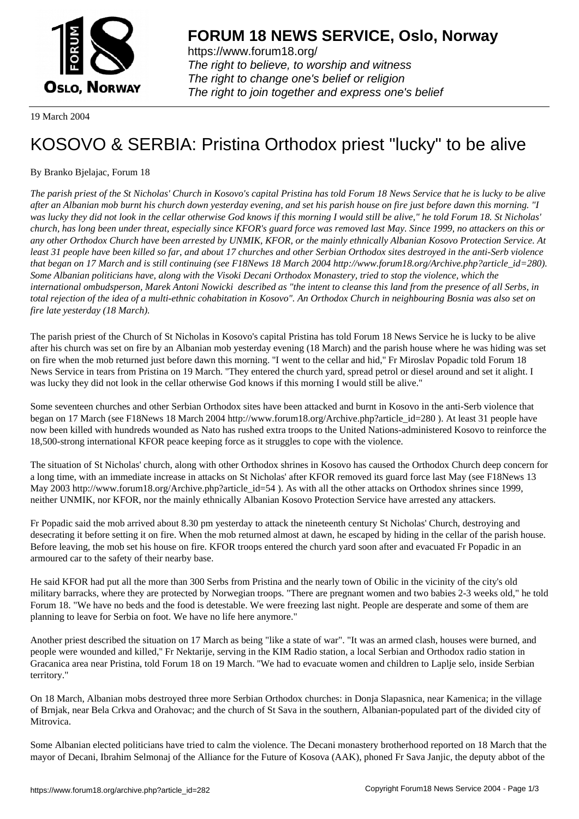

https://www.forum18.org/ The right to believe, to worship and witness The right to change one's belief or religion [The right to join together a](https://www.forum18.org/)nd express one's belief

19 March 2004

## [KOSOVO & SE](https://www.forum18.org)RBIA: Pristina Orthodox priest "lucky" to be alive

By Branko Bjelajac, Forum 18

*The parish priest of the St Nicholas' Church in Kosovo's capital Pristina has told Forum 18 News Service that he is lucky to be alive after an Albanian mob burnt his church down yesterday evening, and set his parish house on fire just before dawn this morning. "I was lucky they did not look in the cellar otherwise God knows if this morning I would still be alive," he told Forum 18. St Nicholas' church, has long been under threat, especially since KFOR's guard force was removed last May. Since 1999, no attackers on this or any other Orthodox Church have been arrested by UNMIK, KFOR, or the mainly ethnically Albanian Kosovo Protection Service. At least 31 people have been killed so far, and about 17 churches and other Serbian Orthodox sites destroyed in the anti-Serb violence that began on 17 March and is still continuing (see F18News 18 March 2004 http://www.forum18.org/Archive.php?article\_id=280). Some Albanian politicians have, along with the Visoki Decani Orthodox Monastery, tried to stop the violence, which the international ombudsperson, Marek Antoni Nowicki described as "the intent to cleanse this land from the presence of all Serbs, in total rejection of the idea of a multi-ethnic cohabitation in Kosovo". An Orthodox Church in neighbouring Bosnia was also set on fire late yesterday (18 March).*

The parish priest of the Church of St Nicholas in Kosovo's capital Pristina has told Forum 18 News Service he is lucky to be alive after his church was set on fire by an Albanian mob yesterday evening (18 March) and the parish house where he was hiding was set on fire when the mob returned just before dawn this morning. ''I went to the cellar and hid,'' Fr Miroslav Popadic told Forum 18 News Service in tears from Pristina on 19 March. ''They entered the church yard, spread petrol or diesel around and set it alight. I was lucky they did not look in the cellar otherwise God knows if this morning I would still be alive."

Some seventeen churches and other Serbian Orthodox sites have been attacked and burnt in Kosovo in the anti-Serb violence that began on 17 March (see F18News 18 March 2004 http://www.forum18.org/Archive.php?article\_id=280 ). At least 31 people have now been killed with hundreds wounded as Nato has rushed extra troops to the United Nations-administered Kosovo to reinforce the 18,500-strong international KFOR peace keeping force as it struggles to cope with the violence.

The situation of St Nicholas' church, along with other Orthodox shrines in Kosovo has caused the Orthodox Church deep concern for a long time, with an immediate increase in attacks on St Nicholas' after KFOR removed its guard force last May (see F18News 13 May 2003 http://www.forum18.org/Archive.php?article\_id=54 ). As with all the other attacks on Orthodox shrines since 1999, neither UNMIK, nor KFOR, nor the mainly ethnically Albanian Kosovo Protection Service have arrested any attackers.

Fr Popadic said the mob arrived about 8.30 pm yesterday to attack the nineteenth century St Nicholas' Church, destroying and desecrating it before setting it on fire. When the mob returned almost at dawn, he escaped by hiding in the cellar of the parish house. Before leaving, the mob set his house on fire. KFOR troops entered the church yard soon after and evacuated Fr Popadic in an armoured car to the safety of their nearby base.

He said KFOR had put all the more than 300 Serbs from Pristina and the nearly town of Obilic in the vicinity of the city's old military barracks, where they are protected by Norwegian troops. "There are pregnant women and two babies 2-3 weeks old," he told Forum 18. "We have no beds and the food is detestable. We were freezing last night. People are desperate and some of them are planning to leave for Serbia on foot. We have no life here anymore."

Another priest described the situation on 17 March as being "like a state of war". "It was an armed clash, houses were burned, and people were wounded and killed,'' Fr Nektarije, serving in the KIM Radio station, a local Serbian and Orthodox radio station in Gracanica area near Pristina, told Forum 18 on 19 March. ''We had to evacuate women and children to Laplje selo, inside Serbian territory."

On 18 March, Albanian mobs destroyed three more Serbian Orthodox churches: in Donja Slapasnica, near Kamenica; in the village of Brnjak, near Bela Crkva and Orahovac; and the church of St Sava in the southern, Albanian-populated part of the divided city of Mitrovica.

Some Albanian elected politicians have tried to calm the violence. The Decani monastery brotherhood reported on 18 March that the mayor of Decani, Ibrahim Selmonaj of the Alliance for the Future of Kosova (AAK), phoned Fr Sava Janjic, the deputy abbot of the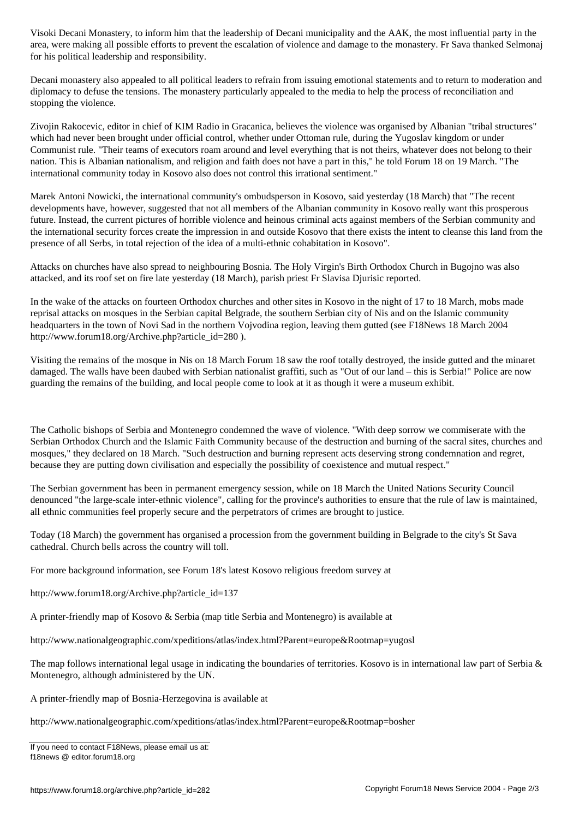area, were making all possible efforts to prevent the escalation of violence and damage to the monastery. Fr Sava thanked Selmonaj for his political leadership and responsibility.

Decani monastery also appealed to all political leaders to refrain from issuing emotional statements and to return to moderation and diplomacy to defuse the tensions. The monastery particularly appealed to the media to help the process of reconciliation and stopping the violence.

Zivojin Rakocevic, editor in chief of KIM Radio in Gracanica, believes the violence was organised by Albanian "tribal structures" which had never been brought under official control, whether under Ottoman rule, during the Yugoslav kingdom or under Communist rule. "Their teams of executors roam around and level everything that is not theirs, whatever does not belong to their nation. This is Albanian nationalism, and religion and faith does not have a part in this," he told Forum 18 on 19 March. "The international community today in Kosovo also does not control this irrational sentiment."

Marek Antoni Nowicki, the international community's ombudsperson in Kosovo, said yesterday (18 March) that "The recent developments have, however, suggested that not all members of the Albanian community in Kosovo really want this prosperous future. Instead, the current pictures of horrible violence and heinous criminal acts against members of the Serbian community and the international security forces create the impression in and outside Kosovo that there exists the intent to cleanse this land from the presence of all Serbs, in total rejection of the idea of a multi-ethnic cohabitation in Kosovo".

Attacks on churches have also spread to neighbouring Bosnia. The Holy Virgin's Birth Orthodox Church in Bugojno was also attacked, and its roof set on fire late yesterday (18 March), parish priest Fr Slavisa Djurisic reported.

In the wake of the attacks on fourteen Orthodox churches and other sites in Kosovo in the night of 17 to 18 March, mobs made reprisal attacks on mosques in the Serbian capital Belgrade, the southern Serbian city of Nis and on the Islamic community headquarters in the town of Novi Sad in the northern Vojvodina region, leaving them gutted (see F18News 18 March 2004 http://www.forum18.org/Archive.php?article\_id=280 ).

Visiting the remains of the mosque in Nis on 18 March Forum 18 saw the roof totally destroyed, the inside gutted and the minaret damaged. The walls have been daubed with Serbian nationalist graffiti, such as "Out of our land – this is Serbia!" Police are now guarding the remains of the building, and local people come to look at it as though it were a museum exhibit.

The Catholic bishops of Serbia and Montenegro condemned the wave of violence. ''With deep sorrow we commiserate with the Serbian Orthodox Church and the Islamic Faith Community because of the destruction and burning of the sacral sites, churches and mosques," they declared on 18 March. "Such destruction and burning represent acts deserving strong condemnation and regret, because they are putting down civilisation and especially the possibility of coexistence and mutual respect."

The Serbian government has been in permanent emergency session, while on 18 March the United Nations Security Council denounced "the large-scale inter-ethnic violence", calling for the province's authorities to ensure that the rule of law is maintained, all ethnic communities feel properly secure and the perpetrators of crimes are brought to justice.

Today (18 March) the government has organised a procession from the government building in Belgrade to the city's St Sava cathedral. Church bells across the country will toll.

For more background information, see Forum 18's latest Kosovo religious freedom survey at

http://www.forum18.org/Archive.php?article\_id=137

A printer-friendly map of Kosovo & Serbia (map title Serbia and Montenegro) is available at

http://www.nationalgeographic.com/xpeditions/atlas/index.html?Parent=europe&Rootmap=yugosl

The map follows international legal usage in indicating the boundaries of territories. Kosovo is in international law part of Serbia & Montenegro, although administered by the UN.

A printer-friendly map of Bosnia-Herzegovina is available at

http://www.nationalgeographic.com/xpeditions/atlas/index.html?Parent=europe&Rootmap=bosher

If you need to contact F18News, please email us at: f18news @ editor.forum18.org